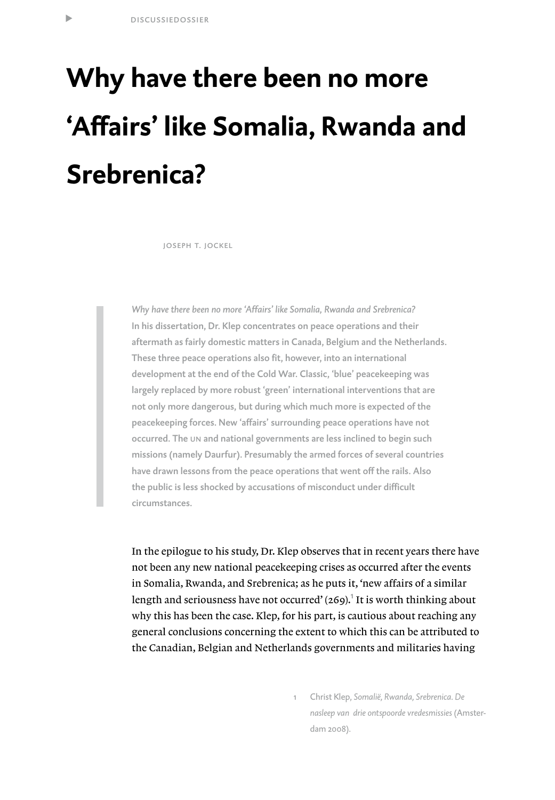t

# **Why have there been no more 'Affairs' like Somalia, Rwanda and Srebrenica?**

joseph t. jockel

*Why have there been no more 'Affairs' like Somalia, Rwanda and Srebrenica?* In his dissertation, Dr. Klep concentrates on peace operations and their aftermath as fairly domestic matters in Canada, Belgium and the Netherlands. These three peace operations also fit, however, into an international development at the end of the Cold War. Classic, 'blue' peacekeeping was largely replaced by more robust 'green' international interventions that are not only more dangerous, but during which much more is expected of the peacekeeping forces. New 'affairs' surrounding peace operations have not occurred. The un and national governments are less inclined to begin such missions (namely Daurfur). Presumably the armed forces of several countries have drawn lessons from the peace operations that went off the rails. Also the public is less shocked by accusations of misconduct under difficult circumstances.

In the epilogue to his study, Dr. Klep observes that in recent years there have not been any new national peacekeeping crises as occurred after the events in Somalia, Rwanda, and Srebrenica; as he puts it, 'new affairs of a similar length and seriousness have not occurred' (269).<sup>1</sup> It is worth thinking about why this has been the case. Klep, for his part, is cautious about reaching any general conclusions concerning the extent to which this can be attributed to the Canadian, Belgian and Netherlands governments and militaries having

> 1 Christ Klep, *Somalië, Rwanda, Srebrenica. De nasleep van drie ontspoorde vredesmissies* (Amsterdam 2008).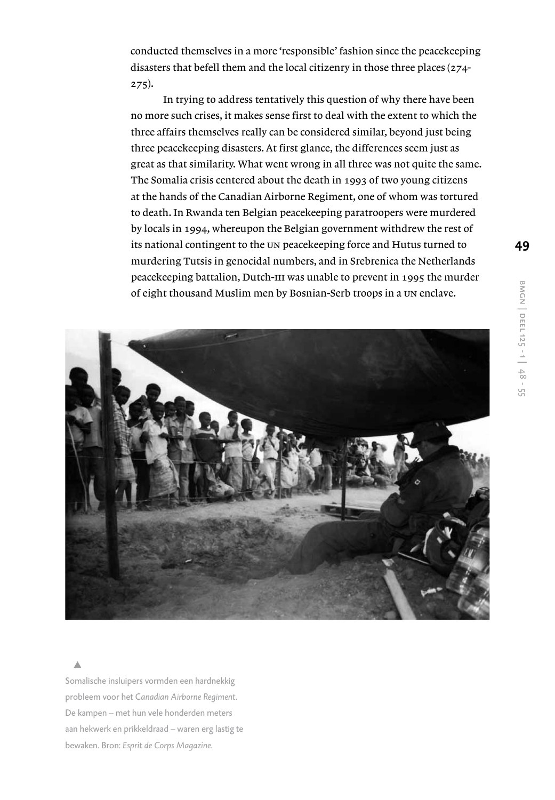conducted themselves in a more 'responsible' fashion since the peacekeeping disasters that befell them and the local citizenry in those three places (274- 275).

 In trying to address tentatively this question of why there have been no more such crises, it makes sense first to deal with the extent to which the three affairs themselves really can be considered similar, beyond just being three peacekeeping disasters. At first glance, the differences seem just as great as that similarity. What went wrong in all three was not quite the same. The Somalia crisis centered about the death in 1993 of two young citizens at the hands of the Canadian Airborne Regiment, one of whom was tortured to death. In Rwanda ten Belgian peacekeeping paratroopers were murdered by locals in 1994, whereupon the Belgian government withdrew the rest of its national contingent to the un peacekeeping force and Hutus turned to murdering Tutsis in genocidal numbers, and in Srebrenica the Netherlands peacekeeping battalion, Dutch-III was unable to prevent in 1995 the murder of eight thousand Muslim men by Bosnian-Serb troops in a un enclave.



Somalische insluipers vormden een hardnekkig probleem voor het C*anadian Airborne Regiment.* De kampen – met hun vele honderden meters aan hekwerk en prikkeldraad – waren erg lastig te bewaken. Bron: *Esprit de Corps Magazine.*

 s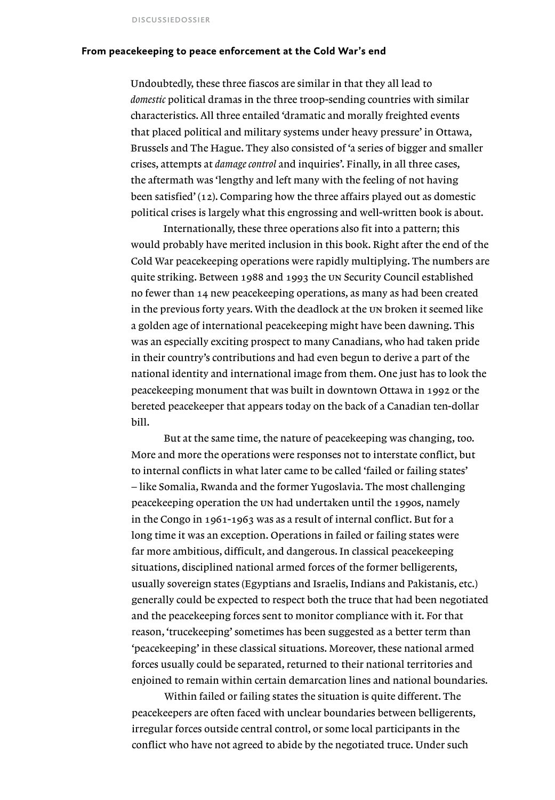#### **From peacekeeping to peace enforcement at the Cold War's end**

Undoubtedly, these three fiascos are similar in that they all lead to *domestic* political dramas in the three troop-sending countries with similar characteristics. All three entailed 'dramatic and morally freighted events that placed political and military systems under heavy pressure' in Ottawa, Brussels and The Hague. They also consisted of 'a series of bigger and smaller crises, attempts at *damage control* and inquiries'. Finally, in all three cases, the aftermath was 'lengthy and left many with the feeling of not having been satisfied' (12). Comparing how the three affairs played out as domestic political crises is largely what this engrossing and well-written book is about.

 Internationally, these three operations also fit into a pattern; this would probably have merited inclusion in this book. Right after the end of the Cold War peacekeeping operations were rapidly multiplying. The numbers are quite striking. Between 1988 and 1993 the un Security Council established no fewer than 14 new peacekeeping operations, as many as had been created in the previous forty years. With the deadlock at the un broken it seemed like a golden age of international peacekeeping might have been dawning. This was an especially exciting prospect to many Canadians, who had taken pride in their country's contributions and had even begun to derive a part of the national identity and international image from them. One just has to look the peacekeeping monument that was built in downtown Ottawa in 1992 or the bereted peacekeeper that appears today on the back of a Canadian ten-dollar bill.

 But at the same time, the nature of peacekeeping was changing, too. More and more the operations were responses not to interstate conflict, but to internal conflicts in what later came to be called 'failed or failing states' – like Somalia, Rwanda and the former Yugoslavia. The most challenging peacekeeping operation the un had undertaken until the 1990s, namely in the Congo in 1961-1963 was as a result of internal conflict. But for a long time it was an exception. Operations in failed or failing states were far more ambitious, difficult, and dangerous. In classical peacekeeping situations, disciplined national armed forces of the former belligerents, usually sovereign states (Egyptians and Israelis, Indians and Pakistanis, etc.) generally could be expected to respect both the truce that had been negotiated and the peacekeeping forces sent to monitor compliance with it. For that reason, 'trucekeeping' sometimes has been suggested as a better term than 'peacekeeping' in these classical situations. Moreover, these national armed forces usually could be separated, returned to their national territories and enjoined to remain within certain demarcation lines and national boundaries.

 Within failed or failing states the situation is quite different. The peacekeepers are often faced with unclear boundaries between belligerents, irregular forces outside central control, or some local participants in the conflict who have not agreed to abide by the negotiated truce. Under such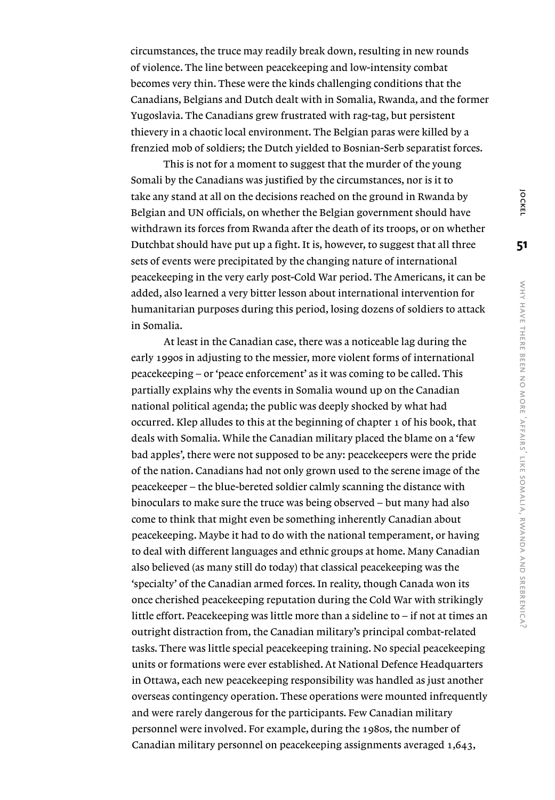circumstances, the truce may readily break down, resulting in new rounds of violence. The line between peacekeeping and low-intensity combat becomes very thin. These were the kinds challenging conditions that the Canadians, Belgians and Dutch dealt with in Somalia, Rwanda, and the former Yugoslavia. The Canadians grew frustrated with rag-tag, but persistent thievery in a chaotic local environment. The Belgian paras were killed by a frenzied mob of soldiers; the Dutch yielded to Bosnian-Serb separatist forces.

 This is not for a moment to suggest that the murder of the young Somali by the Canadians was justified by the circumstances, nor is it to take any stand at all on the decisions reached on the ground in Rwanda by Belgian and UN officials, on whether the Belgian government should have withdrawn its forces from Rwanda after the death of its troops, or on whether Dutchbat should have put up a fight. It is, however, to suggest that all three sets of events were precipitated by the changing nature of international peacekeeping in the very early post-Cold War period. The Americans, it can be added, also learned a very bitter lesson about international intervention for humanitarian purposes during this period, losing dozens of soldiers to attack in Somalia.

 At least in the Canadian case, there was a noticeable lag during the early 1990s in adjusting to the messier, more violent forms of international peacekeeping – or 'peace enforcement' as it was coming to be called. This partially explains why the events in Somalia wound up on the Canadian national political agenda; the public was deeply shocked by what had occurred. Klep alludes to this at the beginning of chapter 1 of his book, that deals with Somalia. While the Canadian military placed the blame on a 'few bad apples', there were not supposed to be any: peacekeepers were the pride of the nation. Canadians had not only grown used to the serene image of the peacekeeper – the blue-bereted soldier calmly scanning the distance with binoculars to make sure the truce was being observed – but many had also come to think that might even be something inherently Canadian about peacekeeping. Maybe it had to do with the national temperament, or having to deal with different languages and ethnic groups at home. Many Canadian also believed (as many still do today) that classical peacekeeping was the 'specialty' of the Canadian armed forces. In reality, though Canada won its once cherished peacekeeping reputation during the Cold War with strikingly little effort. Peacekeeping was little more than a sideline to – if not at times an outright distraction from, the Canadian military's principal combat-related tasks. There was little special peacekeeping training. No special peacekeeping units or formations were ever established. At National Defence Headquarters in Ottawa, each new peacekeeping responsibility was handled as just another overseas contingency operation. These operations were mounted infrequently and were rarely dangerous for the participants. Few Canadian military personnel were involved. For example, during the 1980s, the number of Canadian military personnel on peacekeeping assignments averaged 1,643,

**JOCKEL**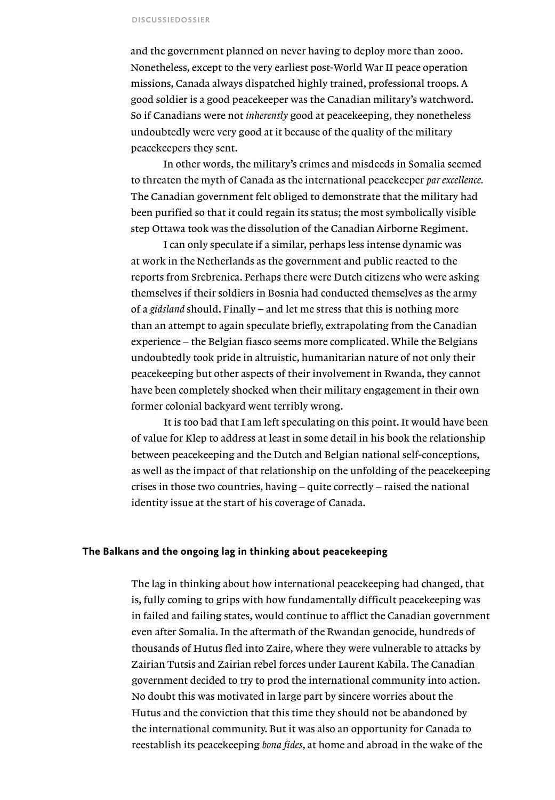#### discussiedossier

and the government planned on never having to deploy more than 2000. Nonetheless, except to the very earliest post-World War II peace operation missions, Canada always dispatched highly trained, professional troops. A good soldier is a good peacekeeper was the Canadian military's watchword. So if Canadians were not *inherently* good at peacekeeping, they nonetheless undoubtedly were very good at it because of the quality of the military peacekeepers they sent.

 In other words, the military's crimes and misdeeds in Somalia seemed to threaten the myth of Canada as the international peacekeeper *par excellence.*  The Canadian government felt obliged to demonstrate that the military had been purified so that it could regain its status; the most symbolically visible step Ottawa took was the dissolution of the Canadian Airborne Regiment.

 I can only speculate if a similar, perhaps less intense dynamic was at work in the Netherlands as the government and public reacted to the reports from Srebrenica. Perhaps there were Dutch citizens who were asking themselves if their soldiers in Bosnia had conducted themselves as the army of a *gidsland* should. Finally – and let me stress that this is nothing more than an attempt to again speculate briefly, extrapolating from the Canadian experience – the Belgian fiasco seems more complicated. While the Belgians undoubtedly took pride in altruistic, humanitarian nature of not only their peacekeeping but other aspects of their involvement in Rwanda, they cannot have been completely shocked when their military engagement in their own former colonial backyard went terribly wrong.

 It is too bad that I am left speculating on this point. It would have been of value for Klep to address at least in some detail in his book the relationship between peacekeeping and the Dutch and Belgian national self-conceptions, as well as the impact of that relationship on the unfolding of the peacekeeping crises in those two countries, having – quite correctly – raised the national identity issue at the start of his coverage of Canada.

#### **The Balkans and the ongoing lag in thinking about peacekeeping**

The lag in thinking about how international peacekeeping had changed, that is, fully coming to grips with how fundamentally difficult peacekeeping was in failed and failing states, would continue to afflict the Canadian government even after Somalia. In the aftermath of the Rwandan genocide, hundreds of thousands of Hutus fled into Zaire, where they were vulnerable to attacks by Zairian Tutsis and Zairian rebel forces under Laurent Kabila. The Canadian government decided to try to prod the international community into action. No doubt this was motivated in large part by sincere worries about the Hutus and the conviction that this time they should not be abandoned by the international community. But it was also an opportunity for Canada to reestablish its peacekeeping *bona fides*, at home and abroad in the wake of the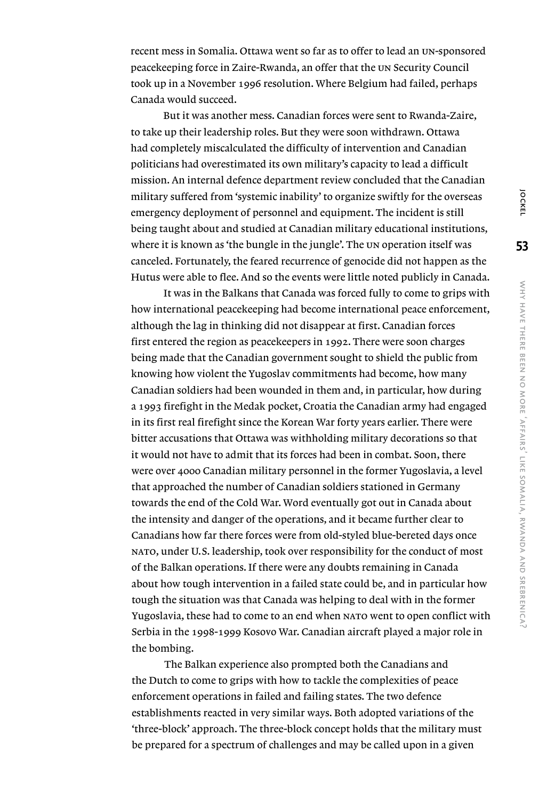recent mess in Somalia. Ottawa went so far as to offer to lead an un-sponsored peacekeeping force in Zaire-Rwanda, an offer that the un Security Council took up in a November 1996 resolution. Where Belgium had failed, perhaps Canada would succeed.

 But it was another mess. Canadian forces were sent to Rwanda-Zaire, to take up their leadership roles. But they were soon withdrawn. Ottawa had completely miscalculated the difficulty of intervention and Canadian politicians had overestimated its own military's capacity to lead a difficult mission. An internal defence department review concluded that the Canadian military suffered from 'systemic inability' to organize swiftly for the overseas emergency deployment of personnel and equipment. The incident is still being taught about and studied at Canadian military educational institutions, where it is known as 'the bungle in the jungle'. The un operation itself was canceled. Fortunately, the feared recurrence of genocide did not happen as the Hutus were able to flee. And so the events were little noted publicly in Canada.

 It was in the Balkans that Canada was forced fully to come to grips with how international peacekeeping had become international peace enforcement, although the lag in thinking did not disappear at first. Canadian forces first entered the region as peacekeepers in 1992. There were soon charges being made that the Canadian government sought to shield the public from knowing how violent the Yugoslav commitments had become, how many Canadian soldiers had been wounded in them and, in particular, how during a 1993 firefight in the Medak pocket, Croatia the Canadian army had engaged in its first real firefight since the Korean War forty years earlier. There were bitter accusations that Ottawa was withholding military decorations so that it would not have to admit that its forces had been in combat. Soon, there were over 4000 Canadian military personnel in the former Yugoslavia, a level that approached the number of Canadian soldiers stationed in Germany towards the end of the Cold War. Word eventually got out in Canada about the intensity and danger of the operations, and it became further clear to Canadians how far there forces were from old-styled blue-bereted days once nato, under U.S. leadership, took over responsibility for the conduct of most of the Balkan operations. If there were any doubts remaining in Canada about how tough intervention in a failed state could be, and in particular how tough the situation was that Canada was helping to deal with in the former Yugoslavia, these had to come to an end when nato went to open conflict with Serbia in the 1998-1999 Kosovo War. Canadian aircraft played a major role in the bombing.

 The Balkan experience also prompted both the Canadians and the Dutch to come to grips with how to tackle the complexities of peace enforcement operations in failed and failing states. The two defence establishments reacted in very similar ways. Both adopted variations of the 'three-block' approach. The three-block concept holds that the military must be prepared for a spectrum of challenges and may be called upon in a given

**53**

**JOCKEL**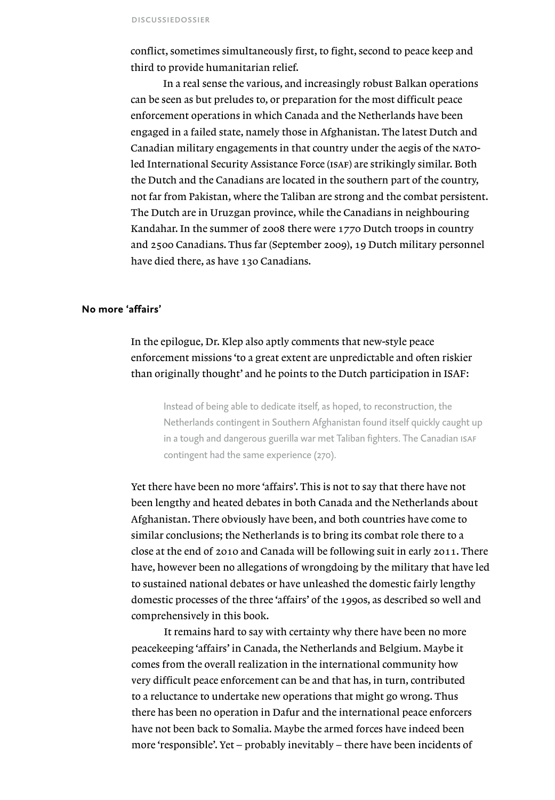conflict, sometimes simultaneously first, to fight, second to peace keep and third to provide humanitarian relief.

 In a real sense the various, and increasingly robust Balkan operations can be seen as but preludes to, or preparation for the most difficult peace enforcement operations in which Canada and the Netherlands have been engaged in a failed state, namely those in Afghanistan. The latest Dutch and Canadian military engagements in that country under the aegis of the natoled International Security Assistance Force (ISAF) are strikingly similar. Both the Dutch and the Canadians are located in the southern part of the country, not far from Pakistan, where the Taliban are strong and the combat persistent. The Dutch are in Uruzgan province, while the Canadians in neighbouring Kandahar. In the summer of 2008 there were 1770 Dutch troops in country and 2500 Canadians. Thus far (September 2009), 19 Dutch military personnel have died there, as have 130 Canadians.

#### **No more 'affairs'**

### In the epilogue, Dr. Klep also aptly comments that new-style peace enforcement missions 'to a great extent are unpredictable and often riskier than originally thought' and he points to the Dutch participation in ISAF:

Instead of being able to dedicate itself, as hoped, to reconstruction, the Netherlands contingent in Southern Afghanistan found itself quickly caught up in a tough and dangerous guerilla war met Taliban fighters. The Canadian ISAF contingent had the same experience (270).

Yet there have been no more 'affairs'. This is not to say that there have not been lengthy and heated debates in both Canada and the Netherlands about Afghanistan. There obviously have been, and both countries have come to similar conclusions; the Netherlands is to bring its combat role there to a close at the end of 2010 and Canada will be following suit in early 2011. There have, however been no allegations of wrongdoing by the military that have led to sustained national debates or have unleashed the domestic fairly lengthy domestic processes of the three 'affairs' of the 1990s, as described so well and comprehensively in this book.

 It remains hard to say with certainty why there have been no more peacekeeping 'affairs' in Canada, the Netherlands and Belgium. Maybe it comes from the overall realization in the international community how very difficult peace enforcement can be and that has, in turn, contributed to a reluctance to undertake new operations that might go wrong. Thus there has been no operation in Dafur and the international peace enforcers have not been back to Somalia. Maybe the armed forces have indeed been more 'responsible'. Yet – probably inevitably – there have been incidents of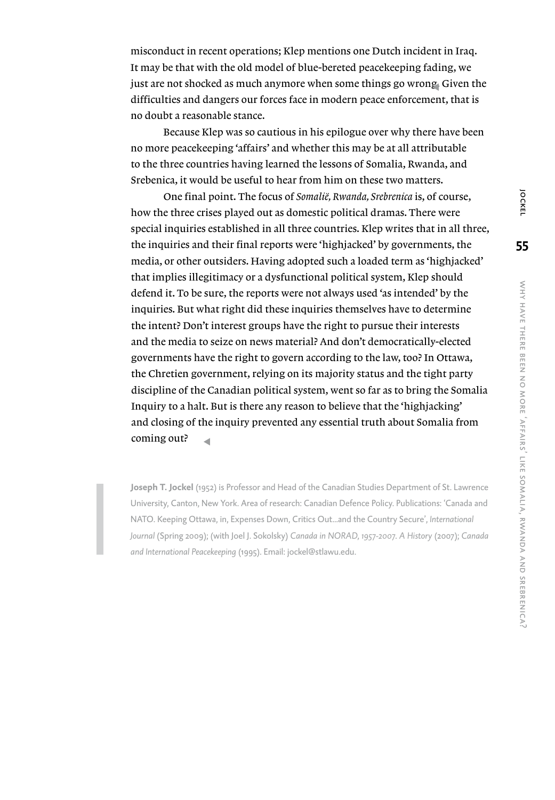misconduct in recent operations; Klep mentions one Dutch incident in Iraq. It may be that with the old model of blue-bereted peacekeeping fading, we just are not shocked as much anymore when some things go wrong. Given the difficulties and dangers our forces face in modern peace enforcement, that is no doubt a reasonable stance.

 Because Klep was so cautious in his epilogue over why there have been no more peacekeeping 'affairs' and whether this may be at all attributable to the three countries having learned the lessons of Somalia, Rwanda, and Srebenica, it would be useful to hear from him on these two matters.

 One final point. The focus of *Somalië, Rwanda, Srebrenica* is, of course, how the three crises played out as domestic political dramas. There were special inquiries established in all three countries. Klep writes that in all three, the inquiries and their final reports were 'highjacked' by governments, the media, or other outsiders. Having adopted such a loaded term as 'highjacked' that implies illegitimacy or a dysfunctional political system, Klep should defend it. To be sure, the reports were not always used 'as intended' by the inquiries. But what right did these inquiries themselves have to determine the intent? Don't interest groups have the right to pursue their interests and the media to seize on news material? And don't democratically-elected governments have the right to govern according to the law, too? In Ottawa, the Chretien government, relying on its majority status and the tight party discipline of the Canadian political system, went so far as to bring the Somalia Inquiry to a halt. But is there any reason to believe that the 'highjacking' and closing of the inquiry prevented any essential truth about Somalia from coming out? s

**Joseph T. Jockel** (1952) is Professor and Head of the Canadian Studies Department of St. Lawrence University, Canton, New York. Area of research: Canadian Defence Policy. Publications: 'Canada and NATO. Keeping Ottawa, in, Expenses Down, Critics Out...and the Country Secure', *International Journal* (Spring 2009); (with Joel J. Sokolsky) *Canada in NORAD, 1957-2007*. *A History* (2007); *Canada and International Peacekeeping* (1995). Email: jockel@stlawu.edu.

**OCKEL**